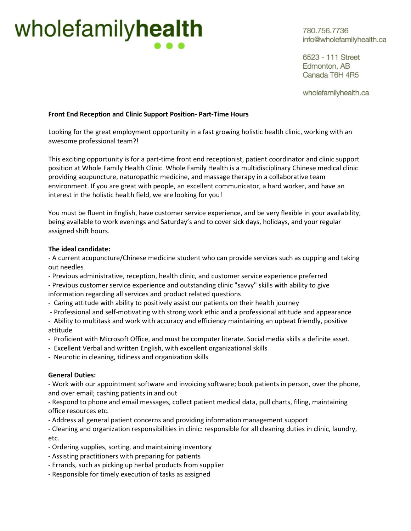## wholefamilyhealth

780.756.7736 info@wholefamilyhealth.ca

6523 - 111 Street Edmonton, AB Canada T6H 4R5

wholefamilyhealth.ca

## **Front End Reception and Clinic Support Position- Part-Time Hours**

Looking for the great employment opportunity in a fast growing holistic health clinic, working with an awesome professional team?!

This exciting opportunity is for a part-time front end receptionist, patient coordinator and clinic support position at Whole Family Health Clinic. Whole Family Health is a multidisciplinary Chinese medical clinic providing acupuncture, naturopathic medicine, and massage therapy in a collaborative team environment. If you are great with people, an excellent communicator, a hard worker, and have an interest in the holistic health field, we are looking for you!

You must be fluent in English, have customer service experience, and be very flexible in your availability, being available to work evenings and Saturday's and to cover sick days, holidays, and your regular assigned shift hours.

## **The ideal candidate:**

- A current acupuncture/Chinese medicine student who can provide services such as cupping and taking out needles

- Previous administrative, reception, health clinic, and customer service experience preferred

- Previous customer service experience and outstanding clinic "savvy" skills with ability to give information regarding all services and product related questions

- Caring attitude with ability to positively assist our patients on their health journey
- Professional and self-motivating with strong work ethic and a professional attitude and appearance
- Ability to multitask and work with accuracy and efficiency maintaining an upbeat friendly, positive attitude
- Proficient with Microsoft Office, and must be computer literate. Social media skills a definite asset.
- Excellent Verbal and written English, with excellent organizational skills
- Neurotic in cleaning, tidiness and organization skills

## **General Duties:**

- Work with our appointment software and invoicing software; book patients in person, over the phone, and over email; cashing patients in and out

- Respond to phone and email messages, collect patient medical data, pull charts, filing, maintaining office resources etc.

- Address all general patient concerns and providing information management support

- Cleaning and organization responsibilities in clinic: responsible for all cleaning duties in clinic, laundry, etc.

- Ordering supplies, sorting, and maintaining inventory
- Assisting practitioners with preparing for patients
- Errands, such as picking up herbal products from supplier
- Responsible for timely execution of tasks as assigned